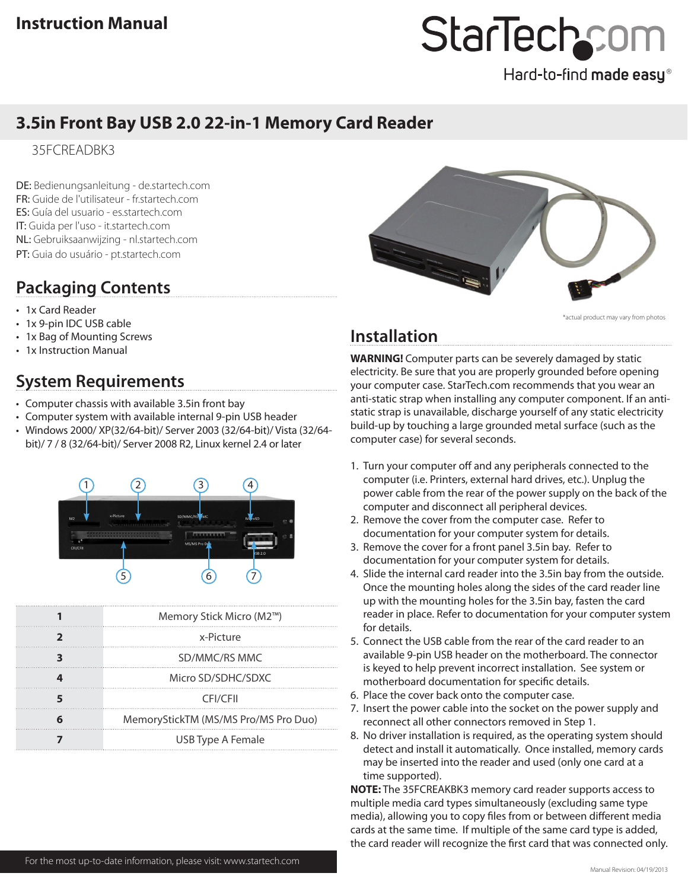# StarTechcom

#### Hard-to-find made easy®

### **3.5in Front Bay USB 2.0 22-in-1 Memory Card Reader**

35FCREADBK3

DE: Bedienungsanleitung - de.startech.com FR: Guide de l'utilisateur - fr.startech.com ES: Guía del usuario - es.startech.com IT: Guida per l'uso - it.startech.com NL: Gebruiksaanwijzing - nl.startech.com PT: Guia do usuário - pt.startech.com

## **Packaging Contents**

- 1x Card Reader
- 1x 9-pin IDC USB cable
- 1x Bag of Mounting Screws
- • 1x Instruction Manual

## **System Requirements**

- Computer chassis with available 3.5in front bay
- Computer system with available internal 9-pin USB header
- • Windows 2000/ XP(32/64-bit)/ Server 2003 (32/64-bit)/ Vista (32/64 bit)/ 7 / 8 (32/64-bit)/ Server 2008 R2, Linux kernel 2.4 or later



| Memory Stick Micro (M2™)             |
|--------------------------------------|
| x-Picture                            |
| SD/MMC/RS MMC                        |
| Micro SD/SDHC/SDXC                   |
| CFI/CFII                             |
| MemoryStickTM (MS/MS Pro/MS Pro Duo) |
| USB Type A Female                    |



\*actual product may vary from photo:

## **Installation**

**WARNING!** Computer parts can be severely damaged by static electricity. Be sure that you are properly grounded before opening your computer case. StarTech.com recommends that you wear an anti-static strap when installing any computer component. If an antistatic strap is unavailable, discharge yourself of any static electricity build-up by touching a large grounded metal surface (such as the computer case) for several seconds.

- 1. Turn your computer off and any peripherals connected to the computer (i.e. Printers, external hard drives, etc.). Unplug the power cable from the rear of the power supply on the back of the computer and disconnect all peripheral devices.
- 2. Remove the cover from the computer case. Refer to documentation for your computer system for details.
- 3. Remove the cover for a front panel 3.5in bay. Refer to documentation for your computer system for details.
- 4. Slide the internal card reader into the 3.5in bay from the outside. Once the mounting holes along the sides of the card reader line up with the mounting holes for the 3.5in bay, fasten the card reader in place. Refer to documentation for your computer system for details.
- 5. Connect the USB cable from the rear of the card reader to an available 9-pin USB header on the motherboard. The connector is keyed to help prevent incorrect installation. See system or motherboard documentation for specific details.
- 6. Place the cover back onto the computer case.
- 7. Insert the power cable into the socket on the power supply and reconnect all other connectors removed in Step 1.
- 8. No driver installation is required, as the operating system should detect and install it automatically. Once installed, memory cards may be inserted into the reader and used (only one card at a time supported).

**NOTE:** The 35FCREAKBK3 memory card reader supports access to multiple media card types simultaneously (excluding same type media), allowing you to copy files from or between different media cards at the same time. If multiple of the same card type is added, the card reader will recognize the first card that was connected only.